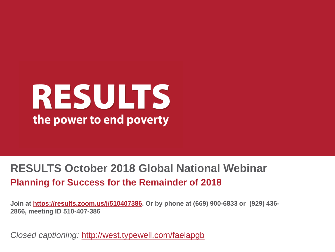# RESULTS the power to end poverty

#### **RESULTS October 2018 Global National Webinar Planning for Success for the Remainder of 2018**

**Join at <https://results.zoom.us/j/510407386>. Or by phone at (669) 900-6833 or (929) 436- 2866, meeting ID 510-407-386**

*Closed captioning:* <http://west.typewell.com/faelapgb>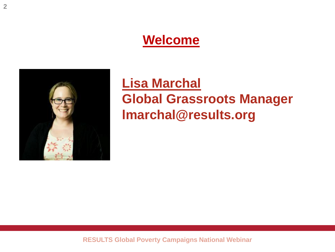#### **Welcome**



#### **Lisa Marchal Global Grassroots Manager lmarchal@results.org**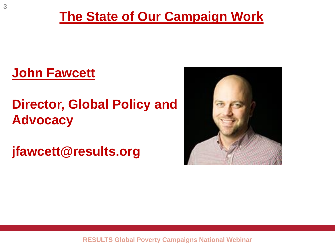#### **The State of Our Campaign Work**

#### **John Fawcett**

### **Director, Global Policy and Advocacy**

**jfawcett@results.org**

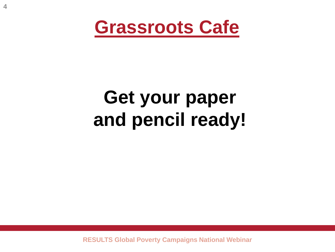

# **Get your paper and pencil ready!**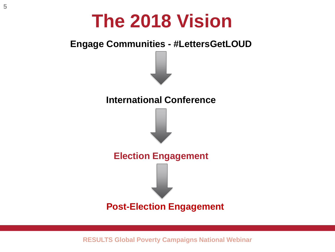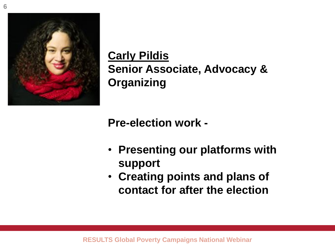

**Carly Pildis Senior Associate, Advocacy & Organizing**

**Pre-election work -**

- **Presenting our platforms with support**
- **Creating points and plans of contact for after the election**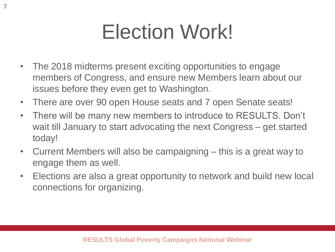# Election Work!

- The 2018 midterms present exciting opportunities to engage members of Congress, and ensure new Members learn about our issues before they even get to Washington.
- There are over 90 open House seats and 7 open Senate seats!
- There will be many new members to introduce to RESULTS. Don't wait till January to start advocating the next Congress – get started today!
- Current Members will also be campaigning this is a great way to engage them as well.
- Elections are also a great opportunity to network and build new local connections for organizing.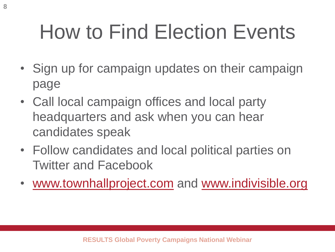# How to Find Election Events

- Sign up for campaign updates on their campaign page
- Call local campaign offices and local party headquarters and ask when you can hear candidates speak
- Follow candidates and local political parties on Twitter and Facebook
- [www.townhallproject.com](http://www.townhallproject.com/) and [www.indivisible.org](http://www.indivisible.org/)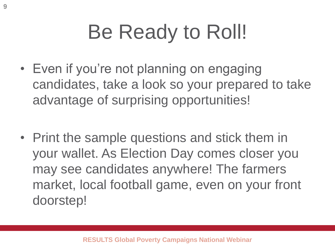# Be Ready to Roll!

- Even if you're not planning on engaging candidates, take a look so your prepared to take advantage of surprising opportunities!
- Print the sample questions and stick them in your wallet. As Election Day comes closer you may see candidates anywhere! The farmers market, local football game, even on your front doorstep!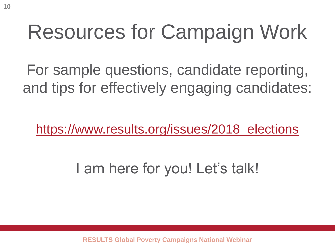# Resources for Campaign Work

For sample questions, candidate reporting, and tips for effectively engaging candidates:

[https://www.results.org/issues/2018\\_elections](https://www.results.org/issues/2018_elections)

I am here for you! Let's talk!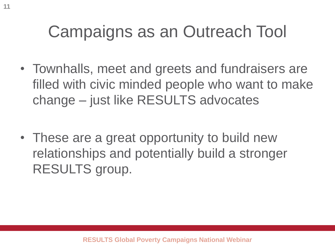## Campaigns as an Outreach Tool

- Townhalls, meet and greets and fundraisers are filled with civic minded people who want to make change – just like RESULTS advocates
- These are a great opportunity to build new relationships and potentially build a stronger RESULTS group.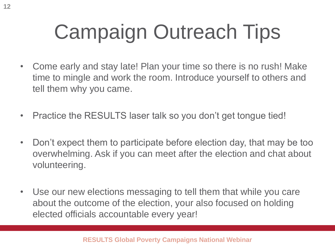# Campaign Outreach Tips

- Come early and stay late! Plan your time so there is no rush! Make time to mingle and work the room. Introduce yourself to others and tell them why you came.
- Practice the RESULTS laser talk so you don't get tongue tied!
- Don't expect them to participate before election day, that may be too overwhelming. Ask if you can meet after the election and chat about volunteering.
- Use our new elections messaging to tell them that while you care about the outcome of the election, your also focused on holding elected officials accountable every year!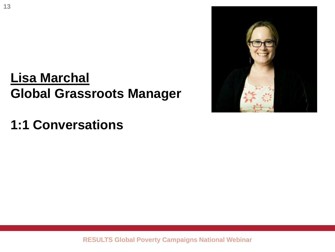#### **Lisa Marchal Global Grassroots Manager**

**1:1 Conversations** 

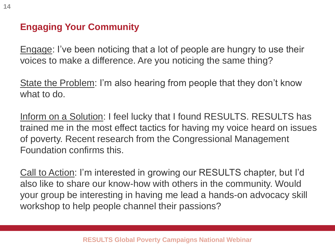#### **Engaging Your Community**

Engage: I've been noticing that a lot of people are hungry to use their voices to make a difference. Are you noticing the same thing?

State the Problem: I'm also hearing from people that they don't know what to do.

Inform on a Solution: I feel lucky that I found RESULTS. RESULTS has trained me in the most effect tactics for having my voice heard on issues of poverty. Recent research from the Congressional Management Foundation confirms this.

Call to Action: I'm interested in growing our RESULTS chapter, but I'd also like to share our know-how with others in the community. Would your group be interesting in having me lead a hands-on advocacy skill workshop to help people channel their passions?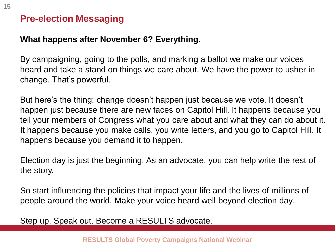#### **Pre-election Messaging**

#### **What happens after November 6? Everything.**

By campaigning, going to the polls, and marking a ballot we make our voices heard and take a stand on things we care about. We have the power to usher in change. That's powerful.

But here's the thing: change doesn't happen just because we vote. It doesn't happen just because there are new faces on Capitol Hill. It happens because you tell your members of Congress what you care about and what they can do about it. It happens because you make calls, you write letters, and you go to Capitol Hill. It happens because you demand it to happen.

Election day is just the beginning. As an advocate, you can help write the rest of the story.

So start influencing the policies that impact your life and the lives of millions of people around the world. Make your voice heard well beyond election day.

Step up. Speak out. Become a RESULTS advocate.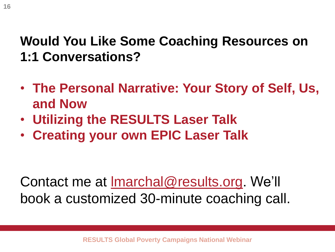#### **Would You Like Some Coaching Resources on 1:1 Conversations?**

- **The Personal Narrative: Your Story of Self, Us, and Now**
- **Utilizing the RESULTS Laser Talk**
- **Creating your own EPIC Laser Talk**

Contact me at [lmarchal@results.org](mailto:lmarchal@results.org). We'll book a customized 30-minute coaching call.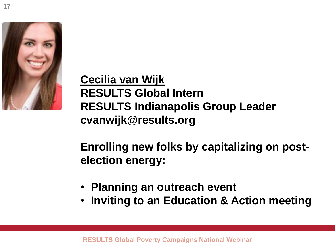**17**

**Cecilia van Wijk RESULTS Global Intern RESULTS Indianapolis Group Leader cvanwijk@results.org**

**Enrolling new folks by capitalizing on postelection energy:**

- **Planning an outreach event**
- **Inviting to an Education & Action meeting**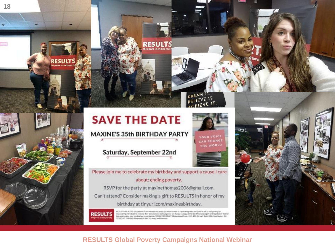

RESUI

### **SAVE THE DATE**

**MAXINE'S 35th BIRTHDAY PARTY** 

Saturday, September 22nd

**RESULT** 

Please join me to celebrate my birthday and support a cause I care about: ending poverty.

**RESULTS** 

DREAM

IFVE IT.

**YOUR VOICE** CAN CHANGE THE WORLD

RSVP for the party at maxinethomas2006@gmail.com. Can't attend? Consider making a gift to RESULTS in honor of my birthday at tinyurl.com/maxinesbirthday.

> RESULTS/RESULTS Educational Fund engures that every donation is used to create the public and political will to end powerly by amposering individuals to economy their personal and pointal power for change. A nagy of the latest financial report and registrators first by<br>this organization may be observed by consuming RESOLTS/RESOLTS Educational Fund 20006; 202.783.4800. Registration does not imply endorsement

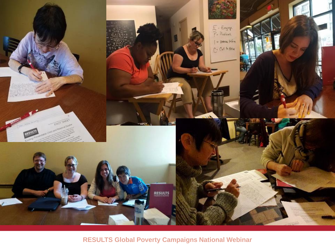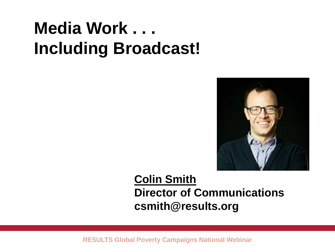# **Media Work . . . Including Broadcast!**



#### **Colin Smith Director of Communications csmith@results.org**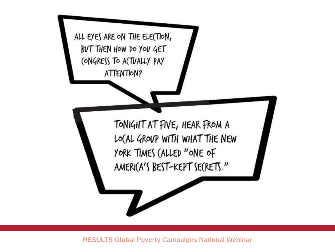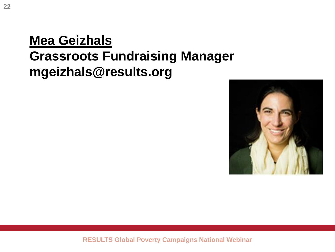#### **Mea Geizhals Grassroots Fundraising Manager mgeizhals@results.org**

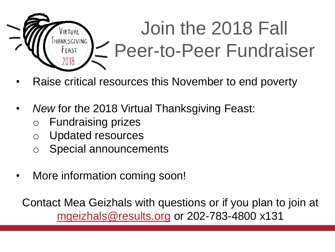

- Raise critical resources this November to end poverty
- *New* for the 2018 Virtual Thanksgiving Feast:
	- o Fundraising prizes
	- o Updated resources
	- o Special announcements
- More information coming soon!

Contact Mea Geizhals with questions or if you plan to join at [mgeizhals@results.org](mailto:mgeizhals@results.org) or 202-783-4800 x131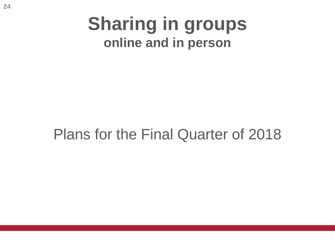### **Sharing in groups online and in person**

### Plans for the Final Quarter of 2018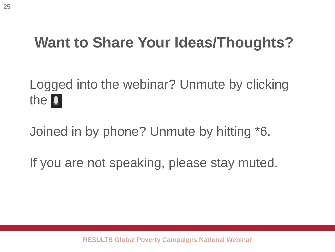### **Want to Share Your Ideas/Thoughts?**

### Logged into the webinar? Unmute by clicking the **0**

Joined in by phone? Unmute by hitting \*6.

If you are not speaking, please stay muted.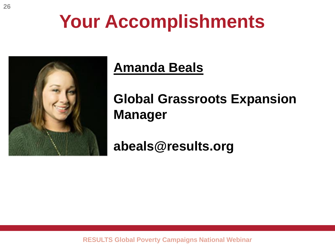# **Your Accomplishments**



#### **Amanda Beals**

### **Global Grassroots Expansion Manager**

**abeals@results.org**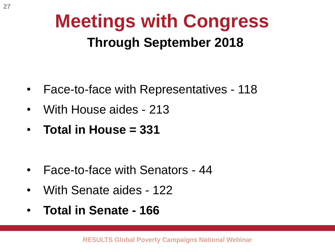## **Meetings with Congress Through September 2018**

- Face-to-face with Representatives 118
- With House aides 213
- **Total in House = 331**

- Face-to-face with Senators 44
- With Senate aides 122
- **Total in Senate - 166**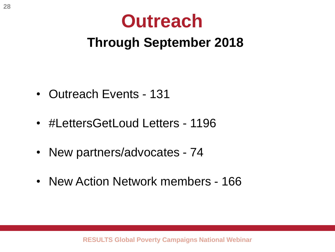# **Outreach**

#### **Through September 2018**

- Outreach Events 131
- #LettersGetLoud Letters 1196
- New partners/advocates 74
- New Action Network members 166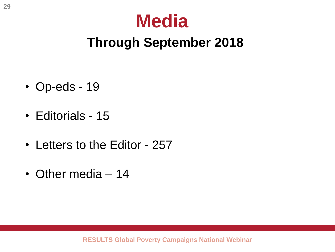## **Media**

### **Through September 2018**

- Op-eds 19
- Editorials 15
- Letters to the Editor 257
- Other media 14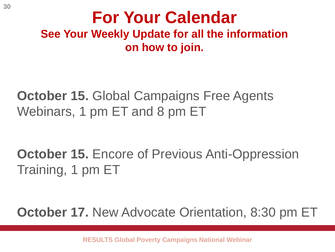#### **For Your Calendar See Your Weekly Update for all the information on how to join.**

**October 15. Global Campaigns Free Agents** Webinars, 1 pm ET and 8 pm ET

**October 15.** Encore of Previous Anti-Oppression Training, 1 pm ET

**October 17.** New Advocate Orientation, 8:30 pm ET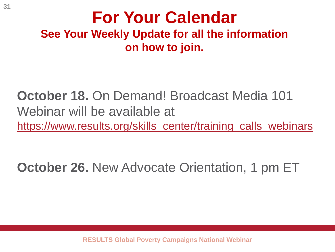#### **For Your Calendar See Your Weekly Update for all the information on how to join.**

**October 18.** On Demand! Broadcast Media 101 Webinar will be available at [https://www.results.org/skills\\_center/training\\_calls\\_webinars](https://www.results.org/skills_center/training_calls_webinars)

**October 26.** New Advocate Orientation, 1 pm ET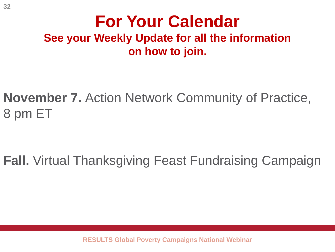#### **For Your Calendar See your Weekly Update for all the information on how to join.**

**November 7.** Action Network Community of Practice, 8 pm ET

**Fall.** Virtual Thanksgiving Feast Fundraising Campaign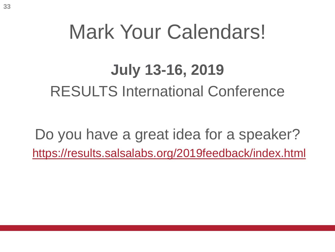# Mark Your Calendars!

### **July 13-16, 2019**

RESULTS International Conference

Do you have a great idea for a speaker? <https://results.salsalabs.org/2019feedback/index.html>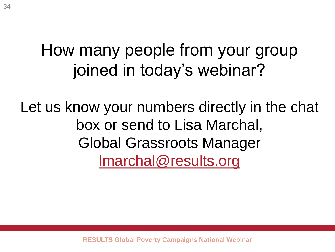### How many people from your group joined in today's webinar?

Let us know your numbers directly in the chat box or send to Lisa Marchal, Global Grassroots Manager [lmarchal@results.org](mailto:lmarchal@results.org)